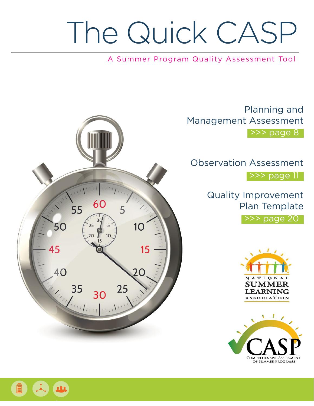# The Quick CASP

## A Summer Program Quality Assessment Tool

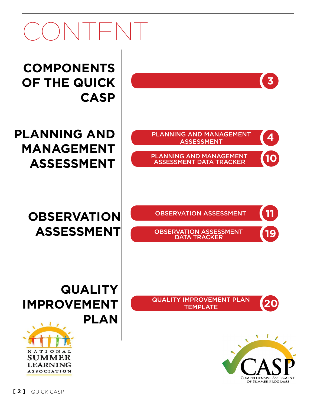## $\Box$

**Components of the quick casp**

**PLANNING AND MANAGEMENT PLANNING AND MANAGEMENT Management Assessment**

**Observation Assessment**

Quality Improvement Plan template **20**

PLANNING AND MANAGEMENT **4** 

PLANNING AND MANAGEMENT **(10**)<br>ASSESSMENT DATA TRACKER (10)

Observation Assessment **11**

OBSERVATION ASSESSMENT **19** 

Planning and Management



**3**

**Quality Improvement Plan**

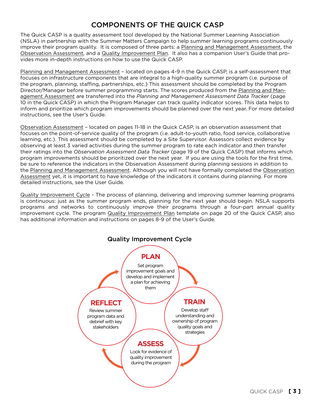## COMPONENTS OF THE QUICK CASP

The Quick CASP is a quality assessment tool developed by the National Summer Learning Association (NSLA) in partnership with the Summer Matters Campaign to help summer learning programs continuously improve their program quality. It is composed of three parts: a Planning and Management Assessment, the Observation Assessment, and a Quality Improvement Plan. It also has a companion User's Guide that provides more in-depth instructions on how to use the Quick CASP.

Planning and Management Assessment – located on pages 4-9 n the Quick CASP, is a self-assessment that focuses on infrastructure components that are integral to a high-quality summer program (i.e. purpose of the program, planning, staffing, partnerships, etc.) This assessment should be completed by the Program Director/Manager before summer programming starts. The scores produced from the Planning and Management Assessment are transferred into the *Planning and Management Assessment Data Tracker* (page 10 in the Quick CASP) in which the Program Manager can track quality indicator scores. This data helps to inform and prioritize which program improvements should be planned over the next year. For more detailed instructions, see the User's Guide.

Observation Assessment – located on pages 11-18 in the Quick CASP, is an observation assessment that focuses on the point-of-service quality of the program (i.e. adult-to-youth ratio, food service, collaborative learning, etc.). This assessment should be completed by a Site Supervisor. Assessors collect evidence by observing at least 3 varied activities during the summer program to rate each indicator and then transfer their ratings into the *Observation Assessment Data Tracker* (page 19 of the Quick CASP) that informs which program improvements should be prioritized over the next year. If you are using the tools for the first time, be sure to reference the indicators in the Observation Assessment during planning sessions in addition to the Planning and Management Assessment. Although you will not have formally completed the Observation Assessment yet, it is important to have knowledge of the indicators it contains during planning. For more detailed instructions, see the User Guide.

Quality Improvement Cycle - The process of planning, delivering and improving summer learning programs is continuous: just as the summer program ends, planning for the next year should begin. NSLA supports programs and networks to continuously improve their programs through a four-part annual quality improvement cycle. The program Quality Improvement Plan template on page 20 of the Quick CASP, also has additional information and instructions on pages 8-9 of the User's Guide.

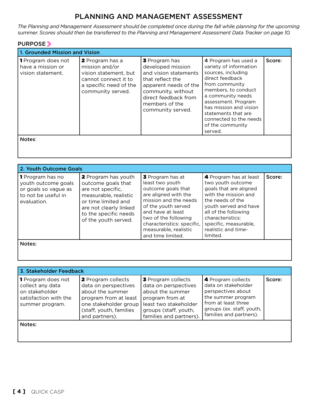## PLANNING AND MANAGEMENT ASSESSMENT

*The Planning and Management Assessment should be completed once during the fall while planning for the upcoming summer. Scores should then be transferred to the Planning and Management Assessment Data Tracker on page 10.*

#### PURPOSE

| 1. Grounded Mission and Vision                               |                                                                                                                                          |                                                                                                                                                                                                      |                                                                                                                                                                                                                                                                                        |        |
|--------------------------------------------------------------|------------------------------------------------------------------------------------------------------------------------------------------|------------------------------------------------------------------------------------------------------------------------------------------------------------------------------------------------------|----------------------------------------------------------------------------------------------------------------------------------------------------------------------------------------------------------------------------------------------------------------------------------------|--------|
| 1 Program does not<br>have a mission or<br>vision statement. | <b>2</b> Program has a<br>mission and/or<br>vision statement, but<br>cannot connect it to<br>a specific need of the<br>community served. | <b>3</b> Program has<br>developed mission<br>and vision statements<br>that reflect the<br>apparent needs of the<br>community, without<br>direct feedback from<br>members of the<br>community served. | 4 Program has used a<br>variety of information<br>sources, including<br>direct feedback<br>from community<br>members, to conduct<br>a community needs<br>assessment. Program<br>has mission and vision<br>statements that are<br>connected to the needs<br>of the community<br>served. | Score: |
| Notes:                                                       |                                                                                                                                          |                                                                                                                                                                                                      |                                                                                                                                                                                                                                                                                        |        |

| 2. Youth Outcome Goals                                                                                       |                                                                                                                                                                                                  |                                                                                                                                                                                                                                                            |                                                                                                                                                                                                                                                    |        |
|--------------------------------------------------------------------------------------------------------------|--------------------------------------------------------------------------------------------------------------------------------------------------------------------------------------------------|------------------------------------------------------------------------------------------------------------------------------------------------------------------------------------------------------------------------------------------------------------|----------------------------------------------------------------------------------------------------------------------------------------------------------------------------------------------------------------------------------------------------|--------|
| <b>1</b> Program has no<br>vouth outcome goals<br>or goals so vague as<br>to not be useful in<br>evaluation. | <b>2</b> Program has youth<br>outcome goals that<br>are not specific,<br>measurable, realistic<br>or time limited and<br>are not clearly linked<br>to the specific needs<br>of the youth served. | 3 Program has at<br>least two youth<br>outcome goals that<br>are aligned with the<br>mission and the needs<br>of the youth served<br>and have at least<br>two of the following<br>characteristics: specific,<br>measurable, realistic<br>and time limited. | 4 Program has at least<br>two youth outcome<br>goals that are aligned<br>with the mission and<br>the needs of the<br>youth served and have<br>all of the following<br>characteristics:<br>specific, measurable,<br>realistic and time-<br>limited. | Score: |
| Notes:                                                                                                       |                                                                                                                                                                                                  |                                                                                                                                                                                                                                                            |                                                                                                                                                                                                                                                    |        |

| 3. Stakeholder Feedback                                                                                     |                                                                                                                                                               |                                                                                                                                                                |                                                                                                                                                                      |        |
|-------------------------------------------------------------------------------------------------------------|---------------------------------------------------------------------------------------------------------------------------------------------------------------|----------------------------------------------------------------------------------------------------------------------------------------------------------------|----------------------------------------------------------------------------------------------------------------------------------------------------------------------|--------|
| <b>1</b> Program does not<br>collect any data<br>on stakeholder<br>satisfaction with the<br>summer program. | 2 Program collects<br>data on perspectives<br>about the summer<br>program from at least<br>one stakeholder group<br>(staff, youth, families<br>and partners). | 3 Program collects<br>data on perspectives<br>about the summer<br>program from at<br>least two stakeholder<br>groups (staff, youth,<br>families and partners). | 4 Program collects<br>data on stakeholder<br>perspectives about<br>the summer program<br>from at least three<br>groups (ex. staff, youth,<br>families and partners). | Score: |
| Notes:                                                                                                      |                                                                                                                                                               |                                                                                                                                                                |                                                                                                                                                                      |        |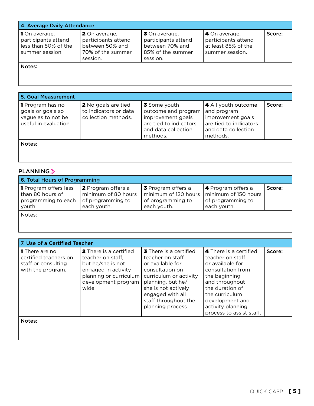| 4. Average Daily Attendance                                                     |                                                                                                 |                                                                                                 |                                                                                |        |
|---------------------------------------------------------------------------------|-------------------------------------------------------------------------------------------------|-------------------------------------------------------------------------------------------------|--------------------------------------------------------------------------------|--------|
| 1 On average,<br>participants attend<br>less than 50% of the<br>summer session. | <b>2</b> On average,<br>participants attend<br>between 50% and<br>70% of the summer<br>session. | <b>3</b> On average,<br>participants attend<br>between 70% and<br>85% of the summer<br>session. | 4 On average,<br>participants attend<br>at least 85% of the<br>summer session. | Score: |
|                                                                                 |                                                                                                 |                                                                                                 |                                                                                |        |

Notes:

| 5. Goal Measurement                                                                         |                                                                            |                                                                                                                       |                                                                                                                      |        |
|---------------------------------------------------------------------------------------------|----------------------------------------------------------------------------|-----------------------------------------------------------------------------------------------------------------------|----------------------------------------------------------------------------------------------------------------------|--------|
| <b>1</b> Program has no<br>goals or goals so<br>vague as to not be<br>useful in evaluation. | <b>2</b> No goals are tied<br>to indicators or data<br>collection methods. | 3 Some youth<br>outcome and program<br>improvement goals<br>are tied to indicators<br>and data collection<br>methods. | 4 All youth outcome<br>and program<br>improvement goals<br>are tied to indicators<br>and data collection<br>methods. | Score: |
| Notes:                                                                                      |                                                                            |                                                                                                                       |                                                                                                                      |        |

## PLANNING

| 6. Total Hours of Programming                                                     |                                                                                      |                                                                                                              |                                                               |        |
|-----------------------------------------------------------------------------------|--------------------------------------------------------------------------------------|--------------------------------------------------------------------------------------------------------------|---------------------------------------------------------------|--------|
| <b>1</b> Program offers less<br>than 80 hours of<br>programming to each<br>youth. | <b>2</b> Program offers a<br>minimum of 80 hours<br>of programming to<br>each youth. | <b>3</b> Program offers a<br>minimum of 120 hours   minimum of 150 hours<br>of programming to<br>each youth. | <b>4</b> Program offers a<br>of programming to<br>each youth. | Score: |
| .                                                                                 |                                                                                      |                                                                                                              |                                                               |        |

Notes:

|                                                                                            | 7. Use of a Certified Teacher                                                                                                                     |                                                                                                                                                                                                                                 |                                                                                                                                                                                                                                 |        |  |
|--------------------------------------------------------------------------------------------|---------------------------------------------------------------------------------------------------------------------------------------------------|---------------------------------------------------------------------------------------------------------------------------------------------------------------------------------------------------------------------------------|---------------------------------------------------------------------------------------------------------------------------------------------------------------------------------------------------------------------------------|--------|--|
| <b>1</b> There are no<br>certified teachers on<br>staff or consulting<br>with the program. | 2 There is a certified<br>teacher on staff.<br>but he/she is not<br>engaged in activity<br>planning or curriculum<br>development program<br>wide. | <b>3</b> There is a certified<br>teacher on staff<br>or available for<br>consultation on<br>curriculum or activity<br>planning, but he/<br>she is not actively<br>engaged with all<br>staff throughout the<br>planning process. | 4 There is a certified<br>teacher on staff<br>or available for<br>consultation from<br>the beginning<br>and throughout<br>the duration of<br>the curriculum<br>development and<br>activity planning<br>process to assist staff. | Score: |  |
| Notes:                                                                                     |                                                                                                                                                   |                                                                                                                                                                                                                                 |                                                                                                                                                                                                                                 |        |  |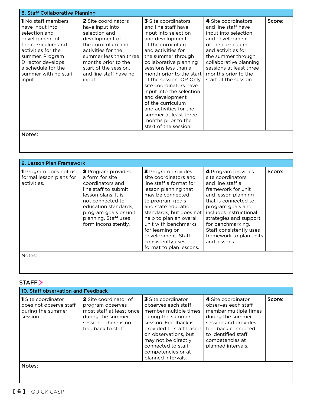| 8. Staff Collaborative Planning                                                                                                                                                                                             |                                                                                                                                                                                                                                            |                                                                                                                                                                                                                                                                                                                                                                                                                                                                         |                                                                                                                                                                                                                                                             |        |
|-----------------------------------------------------------------------------------------------------------------------------------------------------------------------------------------------------------------------------|--------------------------------------------------------------------------------------------------------------------------------------------------------------------------------------------------------------------------------------------|-------------------------------------------------------------------------------------------------------------------------------------------------------------------------------------------------------------------------------------------------------------------------------------------------------------------------------------------------------------------------------------------------------------------------------------------------------------------------|-------------------------------------------------------------------------------------------------------------------------------------------------------------------------------------------------------------------------------------------------------------|--------|
| <b>1</b> No staff members<br>have input into<br>selection and<br>development of<br>the curriculum and<br>activities for the<br>summer. Program<br>Director develops<br>a schedule for the<br>summer with no staff<br>input. | <b>2</b> Site coordinators<br>have input into<br>selection and<br>development of<br>the curriculum and<br>activities for the<br>summer less than three<br>months prior to the<br>start of the session,<br>and line staff have no<br>input. | <b>3</b> Site coordinators<br>and line staff have<br>input into selection<br>and development<br>of the curriculum<br>and activities for<br>the summer through<br>collaborative planning<br>sessions less than a<br>month prior to the start<br>of the session. OR Only<br>site coordinators have<br>input into the selection<br>and development<br>of the curriculum<br>and activities for the<br>summer at least three<br>months prior to the<br>start of the session. | 4 Site coordinators<br>and line staff have<br>input into selection<br>and development<br>of the curriculum<br>and activities for<br>the summer through<br>collaborative planning<br>sessions at least three<br>months prior to the<br>start of the session. | Score: |
| Notes:                                                                                                                                                                                                                      |                                                                                                                                                                                                                                            |                                                                                                                                                                                                                                                                                                                                                                                                                                                                         |                                                                                                                                                                                                                                                             |        |

| 9. Lesson Plan Framework                                                |                                                                                                                                                                                                                                      |                                                                                                                                                                                                                                                                                                                                             |                                                                                                                                                                                                                                                                                                      |        |
|-------------------------------------------------------------------------|--------------------------------------------------------------------------------------------------------------------------------------------------------------------------------------------------------------------------------------|---------------------------------------------------------------------------------------------------------------------------------------------------------------------------------------------------------------------------------------------------------------------------------------------------------------------------------------------|------------------------------------------------------------------------------------------------------------------------------------------------------------------------------------------------------------------------------------------------------------------------------------------------------|--------|
| <b>1</b> Program does not use<br>formal lesson plans for<br>activities. | <b>2</b> Program provides<br>a form for site<br>coordinators and<br>line staff to submit<br>lesson plans. It is<br>not connected to<br>education standards.<br>program goals or unit<br>planning. Staff uses<br>form inconsistently. | <b>3</b> Program provides<br>site coordinators and<br>line staff a format for<br>lesson planning that<br>may be connected<br>to program goals<br>and state education<br>standards, but does not<br>help to plan an overall<br>unit with benchmarks<br>for learning or<br>development. Staff<br>consistently uses<br>format to plan lessons. | 4 Program provides<br>site coordinators<br>and line staff a<br>framework for unit<br>and lesson planning<br>that is connected to<br>program goals and<br>includes instructional<br>strategies and support<br>for benchmarking.<br>Staff consistently uses<br>framework to plan units<br>and lessons. | Score: |
| Notes:                                                                  |                                                                                                                                                                                                                                      |                                                                                                                                                                                                                                                                                                                                             |                                                                                                                                                                                                                                                                                                      |        |

## STAFF<sup>></sup>

| 10. Staff observation and Feedback                                                   |                                                                                                                                          |                                                                                                                                                                                                                                                             |                                                                                                                                                                                                       |        |
|--------------------------------------------------------------------------------------|------------------------------------------------------------------------------------------------------------------------------------------|-------------------------------------------------------------------------------------------------------------------------------------------------------------------------------------------------------------------------------------------------------------|-------------------------------------------------------------------------------------------------------------------------------------------------------------------------------------------------------|--------|
| <b>1</b> Site coordinator<br>does not observe staff<br>during the summer<br>session. | 2 Site coordinator of<br>program observes<br>most staff at least once<br>during the summer<br>session. There is no<br>feedback to staff. | 3 Site coordinator<br>observes each staff<br>member multiple times<br>during the summer<br>session. Feedback is<br>provided to staff based<br>on observations, but<br>may not be directly<br>connected to staff<br>competencies or at<br>planned intervals. | 4 Site coordinator<br>observes each staff<br>member multiple times<br>during the summer<br>session and provides<br>feedback connected<br>to identified staff<br>competencies at<br>planned intervals. | Score: |
| Notes:                                                                               |                                                                                                                                          |                                                                                                                                                                                                                                                             |                                                                                                                                                                                                       |        |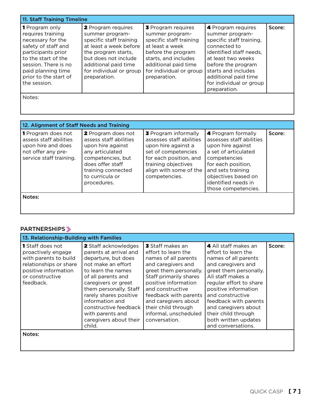| 11. Staff Training Timeline                                                                                                                                                                                                |                                                                                                                                                                                                                     |                                                                                                                                                                                                             |                                                                                                                                                                                                                                                    |        |
|----------------------------------------------------------------------------------------------------------------------------------------------------------------------------------------------------------------------------|---------------------------------------------------------------------------------------------------------------------------------------------------------------------------------------------------------------------|-------------------------------------------------------------------------------------------------------------------------------------------------------------------------------------------------------------|----------------------------------------------------------------------------------------------------------------------------------------------------------------------------------------------------------------------------------------------------|--------|
| <b>1</b> Program only<br>requires training<br>necessary for the<br>safety of staff and<br>participants prior<br>to the start of the<br>session. There is no<br>paid planning time<br>prior to the start of<br>the session. | <b>2</b> Program requires<br>summer program-<br>specific staff training<br>at least a week before<br>the program starts,<br>but does not include<br>additional paid time<br>for individual or group<br>preparation. | <b>3</b> Program requires<br>summer program-<br>specific staff training<br>at least a week<br>before the program<br>starts, and includes<br>additional paid time<br>for individual or group<br>preparation. | 4 Program requires<br>summer program-<br>specific staff training,<br>connected to<br>identified staff needs.<br>at least two weeks<br>before the program<br>starts and includes<br>additional paid time<br>for individual or group<br>preparation. | Score: |
| Notes:                                                                                                                                                                                                                     |                                                                                                                                                                                                                     |                                                                                                                                                                                                             |                                                                                                                                                                                                                                                    |        |
| 12. Alignment of Staff Needs and Training                                                                                                                                                                                  |                                                                                                                                                                                                                     |                                                                                                                                                                                                             |                                                                                                                                                                                                                                                    |        |

| iz. Aligilillerit ol Stari Needs and Trailling                                                                             |                                                                                                                                                                                              |                                                                                                                                                                                                   |                                                                                                                                                                                                                             |        |
|----------------------------------------------------------------------------------------------------------------------------|----------------------------------------------------------------------------------------------------------------------------------------------------------------------------------------------|---------------------------------------------------------------------------------------------------------------------------------------------------------------------------------------------------|-----------------------------------------------------------------------------------------------------------------------------------------------------------------------------------------------------------------------------|--------|
| <b>1</b> Program does not<br>assess staff abilities<br>upon hire and does<br>not offer any pre-<br>service staff training. | <b>2</b> Program does not<br>assess staff abilities<br>upon hire against<br>any articulated<br>competencies, but<br>does offer staff<br>training connected<br>to curricula or<br>procedures. | <b>3</b> Program informally<br>assesses staff abilities<br>upon hire against a<br>set of competencies<br>for each position, and<br>training objectives<br>align with some of the<br>competencies. | 4 Program formally<br>assesses staff abilities<br>upon hire against<br>a set of articulated<br>competencies<br>for each position,<br>and sets training<br>objectives based on<br>identified needs in<br>those competencies. | Score: |
| Notes:                                                                                                                     |                                                                                                                                                                                              |                                                                                                                                                                                                   |                                                                                                                                                                                                                             |        |

#### PARTNERSHIPS »

| 13. Relationship-Building with Families                                                                                                                  |                                                                                                                                                                                                                                                                                                                        |                                                                                                                                                                                                                                                                                                         |                                                                                                                                                                                                                                                                                                                                       |        |
|----------------------------------------------------------------------------------------------------------------------------------------------------------|------------------------------------------------------------------------------------------------------------------------------------------------------------------------------------------------------------------------------------------------------------------------------------------------------------------------|---------------------------------------------------------------------------------------------------------------------------------------------------------------------------------------------------------------------------------------------------------------------------------------------------------|---------------------------------------------------------------------------------------------------------------------------------------------------------------------------------------------------------------------------------------------------------------------------------------------------------------------------------------|--------|
| <b>1</b> Staff does not<br>proactively engage<br>with parents to build<br>relationships or share<br>positive information<br>or constructive<br>feedback. | 2 Staff acknowledges<br>parents at arrival and<br>departure, but does<br>not make an effort<br>to learn the names<br>of all parents and<br>caregivers or greet<br>them personally. Staff<br>rarely shares positive<br>information and<br>constructive feedback<br>with parents and<br>caregivers about their<br>child. | 3 Staff makes an<br>effort to learn the<br>names of all parents<br>and caregivers and<br>greet them personally.<br>Staff primarily shares<br>positive information<br>and constructive<br>feedback with parents<br>and caregivers about<br>their child through<br>informal, unscheduled<br>conversation. | 4 All staff makes an<br>effort to learn the<br>names of all parents<br>and caregivers and<br>greet them personally.<br>All staff makes a<br>regular effort to share<br>positive information<br>and constructive<br>feedback with parents<br>and caregivers about<br>their child through<br>both written updates<br>and conversations. | Score: |
| Notes:                                                                                                                                                   |                                                                                                                                                                                                                                                                                                                        |                                                                                                                                                                                                                                                                                                         |                                                                                                                                                                                                                                                                                                                                       |        |

 $\overline{\phantom{a}}$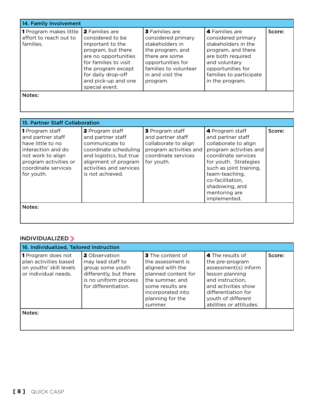| 14. Family Involvement                                               |                                                                                                                                                                                                                           |                                                                                                                                                                                    |                                                                                                                                                                                            |        |
|----------------------------------------------------------------------|---------------------------------------------------------------------------------------------------------------------------------------------------------------------------------------------------------------------------|------------------------------------------------------------------------------------------------------------------------------------------------------------------------------------|--------------------------------------------------------------------------------------------------------------------------------------------------------------------------------------------|--------|
| <b>1</b> Program makes little<br>effort to reach out to<br>families. | <b>2</b> Families are<br>considered to be<br>important to the<br>program, but there<br>are no opportunities<br>for families to visit<br>the program except<br>for daily drop-off<br>and pick-up and one<br>special event. | <b>3</b> Families are<br>considered primary<br>stakeholders in<br>the program, and<br>there are some<br>opportunities for<br>families to volunteer<br>in and visit the<br>program. | 4 Families are<br>considered primary<br>stakeholders in the<br>program, and there<br>are both required<br>and voluntary<br>opportunities for<br>families to participate<br>in the program. | Score: |
| Notes:                                                               |                                                                                                                                                                                                                           |                                                                                                                                                                                    |                                                                                                                                                                                            |        |

|                                                                                                                                                                           | 15. Partner Staff Collaboration                                                                                                                                                          |                                                                                                                             |                                                                                                                                                                                                                                                            |        |  |
|---------------------------------------------------------------------------------------------------------------------------------------------------------------------------|------------------------------------------------------------------------------------------------------------------------------------------------------------------------------------------|-----------------------------------------------------------------------------------------------------------------------------|------------------------------------------------------------------------------------------------------------------------------------------------------------------------------------------------------------------------------------------------------------|--------|--|
| <b>1</b> Program staff<br>and partner staff<br>have little to no<br>interaction and do<br>not work to align<br>program activities or<br>coordinate services<br>for youth. | <b>2</b> Program staff<br>and partner staff<br>communicate to<br>coordinate scheduling<br>and logistics, but true<br>alignment of program<br>activities and services<br>is not achieved. | 3 Program staff<br>and partner staff<br>collaborate to align<br>program activities and<br>coordinate services<br>for youth. | 4 Program staff<br>and partner staff<br>collaborate to align<br>program activities and<br>coordinate services<br>for youth. Strategies<br>such as joint training,<br>team-teaching,<br>co-facilitation,<br>shadowing, and<br>mentoring are<br>implemented. | Score: |  |
| Notes:                                                                                                                                                                    |                                                                                                                                                                                          |                                                                                                                             |                                                                                                                                                                                                                                                            |        |  |

## INDIVIDUALIZED

| 16. Individualized, Tailored Instruction                                                              |                                                                                                                                          |                                                                                                                                                                                    |                                                                                                                                                                                                   |        |
|-------------------------------------------------------------------------------------------------------|------------------------------------------------------------------------------------------------------------------------------------------|------------------------------------------------------------------------------------------------------------------------------------------------------------------------------------|---------------------------------------------------------------------------------------------------------------------------------------------------------------------------------------------------|--------|
| <b>1</b> Program does not<br>plan activities based<br>on youths' skill levels<br>or individual needs. | <b>2</b> Observation<br>may lead staff to<br>group some youth<br>differently, but there<br>is no uniform process<br>for differentiation. | <b>3</b> The content of<br>the assessment is<br>aligned with the<br>planned content for<br>the summer, and<br>some results are<br>incorporated into<br>planning for the<br>summer. | 4 The results of<br>the pre-program<br>assessment(s) inform<br>lesson planning<br>and instruction.<br>and activities show<br>differentiation for<br>youth of different<br>abilities or attitudes. | Score: |
| Notes:                                                                                                |                                                                                                                                          |                                                                                                                                                                                    |                                                                                                                                                                                                   |        |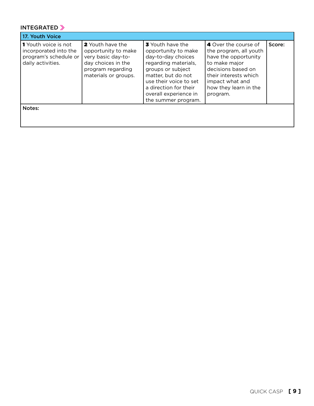## INTEGRATED

| 17. Youth Voice                                                                                    |                                                                                                                                  |                                                                                                                                                                                                                                            |                                                                                                                                                                                                |        |
|----------------------------------------------------------------------------------------------------|----------------------------------------------------------------------------------------------------------------------------------|--------------------------------------------------------------------------------------------------------------------------------------------------------------------------------------------------------------------------------------------|------------------------------------------------------------------------------------------------------------------------------------------------------------------------------------------------|--------|
| <b>1</b> Youth voice is not<br>incorporated into the<br>program's schedule or<br>daily activities. | 2 Youth have the<br>opportunity to make<br>very basic day-to-<br>day choices in the<br>program regarding<br>materials or groups. | <b>3</b> Youth have the<br>opportunity to make<br>day-to-day choices<br>regarding materials,<br>groups or subject<br>matter, but do not<br>use their voice to set<br>a direction for their<br>overall experience in<br>the summer program. | 4 Over the course of<br>the program, all youth<br>have the opportunity<br>to make major<br>decisions based on<br>their interests which<br>impact what and<br>how they learn in the<br>program. | Score: |
| Notes:                                                                                             |                                                                                                                                  |                                                                                                                                                                                                                                            |                                                                                                                                                                                                |        |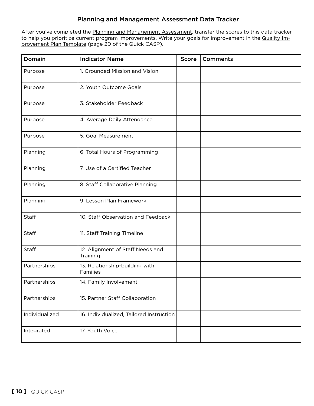#### Planning and Management Assessment Data Tracker

After you've completed the Planning and Management Assessment, transfer the scores to this data tracker to help you prioritize current program improvements. Write your goals for improvement in the Quality Improvement Plan Template (page 20 of the Quick CASP).

| Domain         | <b>Indicator Name</b>                        | Score | <b>Comments</b> |
|----------------|----------------------------------------------|-------|-----------------|
| Purpose        | 1. Grounded Mission and Vision               |       |                 |
| Purpose        | 2. Youth Outcome Goals                       |       |                 |
| Purpose        | 3. Stakeholder Feedback                      |       |                 |
| Purpose        | 4. Average Daily Attendance                  |       |                 |
| Purpose        | 5. Goal Measurement                          |       |                 |
| Planning       | 6. Total Hours of Programming                |       |                 |
| Planning       | 7. Use of a Certified Teacher                |       |                 |
| Planning       | 8. Staff Collaborative Planning              |       |                 |
| Planning       | 9. Lesson Plan Framework                     |       |                 |
| <b>Staff</b>   | 10. Staff Observation and Feedback           |       |                 |
| <b>Staff</b>   | 11. Staff Training Timeline                  |       |                 |
| <b>Staff</b>   | 12. Alignment of Staff Needs and<br>Training |       |                 |
| Partnerships   | 13. Relationship-building with<br>Families   |       |                 |
| Partnerships   | 14. Family Involvement                       |       |                 |
| Partnerships   | 15. Partner Staff Collaboration              |       |                 |
| Individualized | 16. Individualized, Tailored Instruction     |       |                 |
| Integrated     | 17. Youth Voice                              |       |                 |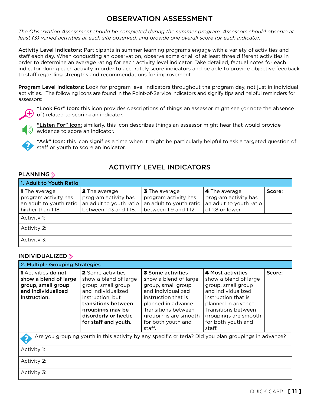## OBSERVATION ASSESSMENT

*The Observation Assessment should be completed during the summer program. Assessors should observe at least (3) varied activities at each site observed, and provide one overall score for each indicator.*

Activity Level Indicators: Participants in summer learning programs engage with a variety of activities and staff each day. When conducting an observation, observe some or all of at least three different activities in order to determine an average rating for each activity level indicator. Take detailed, factual notes for each indicator during each activity in order to accurately score indicators and be able to provide objective feedback to staff regarding strengths and recommendations for improvement.

Program Level Indicators: Look for program level indicators throughout the program day, not just in individual activities. The following icons are found in the Point-of-Service indicators and signify tips and helpful reminders for assessors:



"Look For" Icon: this icon provides descriptions of things an assessor might see (or note the absence of) related to scoring an indicator.



"Listen For" Icon: similarly, this icon describes things an assessor might hear that would provide  $\mathcal Y$  evidence to score an indicator.



"Ask" Icon: this icon signifies a time when it might be particularly helpful to ask a targeted question of staff or youth to score an indicator.

## ACTIVITY LEVEL INDICATORS

#### PLANNING<sup>y</sup>

| 1. Adult to Youth Ratio                                                                      |                                                                                                   |                                                                                                  |                                                                                             |        |  |
|----------------------------------------------------------------------------------------------|---------------------------------------------------------------------------------------------------|--------------------------------------------------------------------------------------------------|---------------------------------------------------------------------------------------------|--------|--|
| <b>1 The average</b><br>program activity has<br>an adult to youth ratio<br>higher than 1:18. | <b>2</b> The average<br>program activity has<br>an adult to youth ratio<br>between 1:13 and 1:18. | <b>3</b> The average<br>program activity has<br>an adult to youth ratio<br>between 1:9 and 1:12. | <b>4</b> The average<br>program activity has<br>an adult to youth ratio<br>of 1:8 or lower. | Score: |  |
| Activity 1:                                                                                  |                                                                                                   |                                                                                                  |                                                                                             |        |  |
| Activity 2:                                                                                  |                                                                                                   |                                                                                                  |                                                                                             |        |  |
| Activity 3:                                                                                  |                                                                                                   |                                                                                                  |                                                                                             |        |  |

#### INDIVIDUALIZED

| 2. Multiple Grouping Strategies                                                                                 |                                                                                                                                                                                                              |                                                                                                                                                                                                                            |                                                                                                                                                                                                                            |        |  |
|-----------------------------------------------------------------------------------------------------------------|--------------------------------------------------------------------------------------------------------------------------------------------------------------------------------------------------------------|----------------------------------------------------------------------------------------------------------------------------------------------------------------------------------------------------------------------------|----------------------------------------------------------------------------------------------------------------------------------------------------------------------------------------------------------------------------|--------|--|
| <b>1</b> Activities do not<br>show a blend of large<br>group, small group<br>and individualized<br>instruction. | <b>2</b> Some activities<br>show a blend of large<br>group, small group<br>and individualized<br>instruction, but<br>transitions between<br>groupings may be<br>disorderly or hectic<br>for staff and youth. | <b>3</b> Some activities<br>show a blend of large<br>group, small group<br>and individualized<br>instruction that is<br>planned in advance.<br>Transitions between<br>groupings are smooth<br>for both youth and<br>staff. | <b>4 Most activities</b><br>show a blend of large<br>group, small group<br>and individualized<br>instruction that is<br>planned in advance.<br>Transitions between<br>groupings are smooth<br>for both youth and<br>staff. | Score: |  |
|                                                                                                                 |                                                                                                                                                                                                              |                                                                                                                                                                                                                            | Are you grouping youth in this activity by any specific criteria? Did you plan groupings in advance?                                                                                                                       |        |  |
| Activity 1:                                                                                                     |                                                                                                                                                                                                              |                                                                                                                                                                                                                            |                                                                                                                                                                                                                            |        |  |
| Activity 2:                                                                                                     |                                                                                                                                                                                                              |                                                                                                                                                                                                                            |                                                                                                                                                                                                                            |        |  |
| Activity 3:                                                                                                     |                                                                                                                                                                                                              |                                                                                                                                                                                                                            |                                                                                                                                                                                                                            |        |  |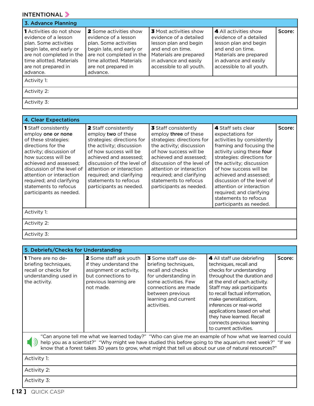## INTENTIONAL »

| 3. Advance Planning                                                                                                                                                                                     |                                                                                                                                                                                                       |                                                                                                                                                                                     |                                                                                                                                                                             |        |
|---------------------------------------------------------------------------------------------------------------------------------------------------------------------------------------------------------|-------------------------------------------------------------------------------------------------------------------------------------------------------------------------------------------------------|-------------------------------------------------------------------------------------------------------------------------------------------------------------------------------------|-----------------------------------------------------------------------------------------------------------------------------------------------------------------------------|--------|
| <b>1</b> Activities do not show<br>evidence of a lesson<br>plan. Some activities<br>begin late, end early or<br>are not completed in the<br>time allotted. Materials<br>are not prepared in<br>advance. | <b>2</b> Some activities show<br>evidence of a lesson<br>plan. Some activities<br>begin late, end early or<br>are not completed in the<br>time allotted. Materials<br>are not prepared in<br>advance. | <b>3</b> Most activities show<br>evidence of a detailed<br>lesson plan and begin<br>and end on time.<br>Materials are prepared<br>in advance and easily<br>accessible to all youth. | 4 All activities show<br>evidence of a detailed<br>lesson plan and begin<br>and end on time.<br>Materials are prepared<br>in advance and easily<br>accessible to all youth. | Score: |
| Activity 1:                                                                                                                                                                                             |                                                                                                                                                                                                       |                                                                                                                                                                                     |                                                                                                                                                                             |        |
| Activity 2:                                                                                                                                                                                             |                                                                                                                                                                                                       |                                                                                                                                                                                     |                                                                                                                                                                             |        |
| Activity 3:                                                                                                                                                                                             |                                                                                                                                                                                                       |                                                                                                                                                                                     |                                                                                                                                                                             |        |

| <b>4. Clear Expectations</b>                                                                                                                                                                                                                                                                                          |                                                                                                                                                                                                                                                                                                            |                                                                                                                                                                                                                                                                                                              |                                                                                                                                                                                                                                                                                                                                                                                       |        |
|-----------------------------------------------------------------------------------------------------------------------------------------------------------------------------------------------------------------------------------------------------------------------------------------------------------------------|------------------------------------------------------------------------------------------------------------------------------------------------------------------------------------------------------------------------------------------------------------------------------------------------------------|--------------------------------------------------------------------------------------------------------------------------------------------------------------------------------------------------------------------------------------------------------------------------------------------------------------|---------------------------------------------------------------------------------------------------------------------------------------------------------------------------------------------------------------------------------------------------------------------------------------------------------------------------------------------------------------------------------------|--------|
| <b>1</b> Staff consistently<br>employ one or none<br>of these strategies:<br>directions for the<br>activity; discussion of<br>how success will be<br>achieved and assessed:<br>discussion of the level of<br>attention or interaction<br>required; and clarifying<br>statements to refocus<br>participants as needed. | <b>2</b> Staff consistently<br>employ two of these<br>strategies: directions for<br>the activity; discussion<br>of how success will be<br>achieved and assessed:<br>discussion of the level of<br>attention or interaction<br>required; and clarifying<br>statements to refocus<br>participants as needed. | 3 Staff consistently<br>employ <b>three</b> of these<br>strategies: directions for<br>the activity; discussion<br>of how success will be<br>achieved and assessed;<br>discussion of the level of<br>attention or interaction<br>required; and clarifying<br>statements to refocus<br>participants as needed. | 4 Staff sets clear<br>expectations for<br>activities by consistently<br>framing and focusing the<br>activity using these four<br>strategies: directions for<br>the activity; discussion<br>of how success will be<br>achieved and assessed:<br>discussion of the level of<br>attention or interaction<br>required; and clarifying<br>statements to refocus<br>participants as needed. | Score: |
| Activity 1:                                                                                                                                                                                                                                                                                                           |                                                                                                                                                                                                                                                                                                            |                                                                                                                                                                                                                                                                                                              |                                                                                                                                                                                                                                                                                                                                                                                       |        |
| Activity 2:                                                                                                                                                                                                                                                                                                           |                                                                                                                                                                                                                                                                                                            |                                                                                                                                                                                                                                                                                                              |                                                                                                                                                                                                                                                                                                                                                                                       |        |
| Activity 3:                                                                                                                                                                                                                                                                                                           |                                                                                                                                                                                                                                                                                                            |                                                                                                                                                                                                                                                                                                              |                                                                                                                                                                                                                                                                                                                                                                                       |        |

|                                                                                                                                                                                                                                                                                                                              | 5. Debriefs/Checks for Understanding                                                                                                           |                                                                                                                                                                                                             |                                                                                                                                                                                                                                                                                                                                                                                         |        |  |
|------------------------------------------------------------------------------------------------------------------------------------------------------------------------------------------------------------------------------------------------------------------------------------------------------------------------------|------------------------------------------------------------------------------------------------------------------------------------------------|-------------------------------------------------------------------------------------------------------------------------------------------------------------------------------------------------------------|-----------------------------------------------------------------------------------------------------------------------------------------------------------------------------------------------------------------------------------------------------------------------------------------------------------------------------------------------------------------------------------------|--------|--|
| <b>1</b> There are no de-<br>briefing techniques,<br>recall or checks for<br>understanding used in<br>the activity.                                                                                                                                                                                                          | <b>2</b> Some staff ask youth<br>if they understand the<br>assignment or activity,<br>but connections to<br>previous learning are<br>not made. | <b>3</b> Some staff use de-<br>briefing techniques,<br>recall and checks<br>for understanding in<br>some activities. Few<br>connections are made<br>between previous<br>learning and current<br>activities. | 4 All staff use debriefing<br>techniques, recall and<br>checks for understanding<br>throughout the duration and<br>at the end of each activity.<br>Staff may ask participants<br>to recall factual information,<br>make generalizations,<br>inferences or real-world<br>applications based on what<br>they have learned. Recall<br>connects previous learning<br>to current activities. | Score: |  |
| "Can anyone tell me what we learned today?" "Who can give me an example of how what we learned could<br>help you as a scientist?" "Why might we have studied this before going to the aquarium next week?" "If we<br>know that a forest takes 30 years to grow, what might that tell us about our use of natural resources?" |                                                                                                                                                |                                                                                                                                                                                                             |                                                                                                                                                                                                                                                                                                                                                                                         |        |  |
| Activity 1:                                                                                                                                                                                                                                                                                                                  |                                                                                                                                                |                                                                                                                                                                                                             |                                                                                                                                                                                                                                                                                                                                                                                         |        |  |
| Activity 2:                                                                                                                                                                                                                                                                                                                  |                                                                                                                                                |                                                                                                                                                                                                             |                                                                                                                                                                                                                                                                                                                                                                                         |        |  |
| Activity 3:                                                                                                                                                                                                                                                                                                                  |                                                                                                                                                |                                                                                                                                                                                                             |                                                                                                                                                                                                                                                                                                                                                                                         |        |  |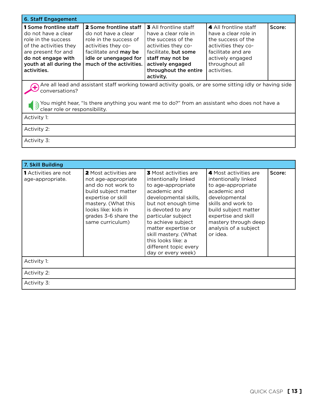| <b>6. Staff Engagement</b>                                                                                                                                                                                                                                 |                                                                                                                                                                                    |                                                                                                                                                                                                         |                                                                                                                                                                       |        |  |
|------------------------------------------------------------------------------------------------------------------------------------------------------------------------------------------------------------------------------------------------------------|------------------------------------------------------------------------------------------------------------------------------------------------------------------------------------|---------------------------------------------------------------------------------------------------------------------------------------------------------------------------------------------------------|-----------------------------------------------------------------------------------------------------------------------------------------------------------------------|--------|--|
| <b>1</b> Some frontline staff<br>do not have a clear<br>role in the success<br>of the activities they<br>are present for and<br>do not engage with<br>youth at all during the<br>activities.                                                               | <b>2</b> Some frontline staff<br>do not have a clear<br>role in the success of<br>activities they co-<br>facilitate and may be<br>idle or unengaged for<br>much of the activities. | <b>3</b> All frontline staff<br>have a clear role in<br>the success of the<br>activities they co-<br>facilitate, but some<br>staff may not be<br>actively engaged<br>throughout the entire<br>activity. | 4 All frontline staff<br>have a clear role in<br>the success of the<br>activities they co-<br>facilitate and are<br>actively engaged<br>throughout all<br>activities. | Score: |  |
| Are all lead and assistant staff working toward activity goals, or are some sitting idly or having side<br>conversations?<br>You might hear, "Is there anything you want me to do?" from an assistant who does not have a<br>clear role or responsibility. |                                                                                                                                                                                    |                                                                                                                                                                                                         |                                                                                                                                                                       |        |  |
| Activity 1:                                                                                                                                                                                                                                                |                                                                                                                                                                                    |                                                                                                                                                                                                         |                                                                                                                                                                       |        |  |
| Activity 2:                                                                                                                                                                                                                                                |                                                                                                                                                                                    |                                                                                                                                                                                                         |                                                                                                                                                                       |        |  |
| Activity 3:                                                                                                                                                                                                                                                |                                                                                                                                                                                    |                                                                                                                                                                                                         |                                                                                                                                                                       |        |  |

| 7. Skill Building                        |                                                                                                                                                                                                                   |                                                                                                                                                                                                                                                                                                                                 |                                                                                                                                                                                                                                        |        |
|------------------------------------------|-------------------------------------------------------------------------------------------------------------------------------------------------------------------------------------------------------------------|---------------------------------------------------------------------------------------------------------------------------------------------------------------------------------------------------------------------------------------------------------------------------------------------------------------------------------|----------------------------------------------------------------------------------------------------------------------------------------------------------------------------------------------------------------------------------------|--------|
| 1 Activities are not<br>age-appropriate. | <b>2</b> Most activities are<br>not age-appropriate<br>and do not work to<br>build subject matter<br>expertise or skill<br>mastery. (What this<br>looks like: kids in<br>grades 3-6 share the<br>same curriculum) | <b>3</b> Most activities are<br>intentionally linked<br>to age-appropriate<br>academic and<br>developmental skills,<br>but not enough time<br>is devoted to any<br>particular subject<br>to achieve subject<br>matter expertise or<br>skill mastery. (What<br>this looks like: a<br>different topic every<br>day or every week) | 4 Most activities are<br>intentionally linked<br>to age-appropriate<br>academic and<br>developmental<br>skills and work to<br>build subject matter<br>expertise and skill<br>mastery through deep<br>analysis of a subject<br>or idea. | Score: |
| Activity 1:                              |                                                                                                                                                                                                                   |                                                                                                                                                                                                                                                                                                                                 |                                                                                                                                                                                                                                        |        |
| Activity 2:                              |                                                                                                                                                                                                                   |                                                                                                                                                                                                                                                                                                                                 |                                                                                                                                                                                                                                        |        |
| Activity 3:                              |                                                                                                                                                                                                                   |                                                                                                                                                                                                                                                                                                                                 |                                                                                                                                                                                                                                        |        |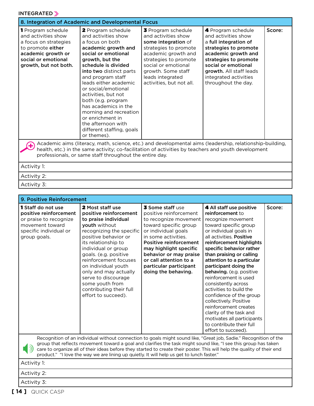#### INTEGRATED S

| 8. Integration of Academic and Developmental Focus                                                                                                                                                                                                                         |                                                                                                                                                                                                                                                                                                                                                                                                                                           |                                                                                                                                                                                                                                        |                                                                                                                                                                                                                                               |        |
|----------------------------------------------------------------------------------------------------------------------------------------------------------------------------------------------------------------------------------------------------------------------------|-------------------------------------------------------------------------------------------------------------------------------------------------------------------------------------------------------------------------------------------------------------------------------------------------------------------------------------------------------------------------------------------------------------------------------------------|----------------------------------------------------------------------------------------------------------------------------------------------------------------------------------------------------------------------------------------|-----------------------------------------------------------------------------------------------------------------------------------------------------------------------------------------------------------------------------------------------|--------|
| 1 Program schedule<br>and activities show<br>a focus on strategies<br>to promote either<br>academic growth or<br>social or emotional<br>growth, but not both.                                                                                                              | 2 Program schedule<br>and activities show<br>a focus on both<br>academic growth and<br>social or emotional<br>growth, but the<br>schedule is divided<br>into two distinct parts<br>and program staff<br>leads either academic<br>or social/emotional<br>activities, but not<br>both (e.g. program<br>has academics in the<br>morning and recreation<br>or enrichment in<br>the afternoon with<br>different staffing, goals<br>or themes). | 3 Program schedule<br>and activities show<br>some integration of<br>strategies to promote<br>academic growth and<br>strategies to promote<br>social or emotional<br>growth. Some staff<br>leads integrated<br>activities, but not all. | 4 Program schedule<br>and activities show<br>a full integration of<br>strategies to promote<br>academic growth and<br>strategies to promote<br>social or emotional<br>growth. All staff leads<br>integrated activities<br>throughout the day. | Score: |
| Academic aims (literacy, math, science, etc.) and developmental aims (leadership, relationship-building,<br>health, etc.) in the same activity; co-facilitation of activities by teachers and youth development<br>professionals, or same staff throughout the entire day. |                                                                                                                                                                                                                                                                                                                                                                                                                                           |                                                                                                                                                                                                                                        |                                                                                                                                                                                                                                               |        |
| Activity 1:                                                                                                                                                                                                                                                                |                                                                                                                                                                                                                                                                                                                                                                                                                                           |                                                                                                                                                                                                                                        |                                                                                                                                                                                                                                               |        |
| Activity 2:                                                                                                                                                                                                                                                                |                                                                                                                                                                                                                                                                                                                                                                                                                                           |                                                                                                                                                                                                                                        |                                                                                                                                                                                                                                               |        |
| Activity 3:                                                                                                                                                                                                                                                                |                                                                                                                                                                                                                                                                                                                                                                                                                                           |                                                                                                                                                                                                                                        |                                                                                                                                                                                                                                               |        |

| 9. Positive Reinforcement                                                                                                                  |                                                                                                                                                                                                                                                                                                                                                                                                   |                                                                                                                                                                                                                                                                                                                   |                                                                                                                                                                                                                                                                                                                                                                                                                                                                |        |  |
|--------------------------------------------------------------------------------------------------------------------------------------------|---------------------------------------------------------------------------------------------------------------------------------------------------------------------------------------------------------------------------------------------------------------------------------------------------------------------------------------------------------------------------------------------------|-------------------------------------------------------------------------------------------------------------------------------------------------------------------------------------------------------------------------------------------------------------------------------------------------------------------|----------------------------------------------------------------------------------------------------------------------------------------------------------------------------------------------------------------------------------------------------------------------------------------------------------------------------------------------------------------------------------------------------------------------------------------------------------------|--------|--|
| <b>1</b> Staff do not use<br>positive reinforcement<br>or praise to recognize<br>movement toward<br>specific individual or<br>group goals. | <b>2</b> Most staff use<br>positive reinforcement<br>to praise individual<br><b>youth</b> without<br>recognizing the specific<br>positive behavior or<br>its relationship to<br>individual or group<br>goals. (e.g. positive<br>reinforcement focuses<br>on individual youth<br>only and may actually<br>serve to discourage<br>some youth from<br>contributing their full<br>effort to succeed). | <b>3 Some staff use</b><br>positive reinforcement<br>to recognize movement<br>toward specific group<br>or individual goals<br>in some activities.<br><b>Positive reinforcement</b><br>may highlight specific<br>behavior or may praise<br>or call attention to a<br>particular participant<br>doing the behaving. | 4 All staff use positive<br>reinforcement to<br>recognize movement<br>toward specific group<br>or individual goals in<br>all activities. Positive<br>reinforcement highlights<br>specific behavior rather<br>than praising or calling<br>attention to a particular<br>participant doing the<br><b>behaving.</b> (e.g. positive<br>reinforcement is used<br>consistently across<br>activities to build the<br>confidence of the group<br>collectively. Positive | Score: |  |
|                                                                                                                                            |                                                                                                                                                                                                                                                                                                                                                                                                   |                                                                                                                                                                                                                                                                                                                   | reinforcement creates<br>clarity of the task and<br>motivates all participants<br>to contribute their full<br>effort to succeed).                                                                                                                                                                                                                                                                                                                              |        |  |



Recognition of an individual without connection to goals might sound like, "Great job, Sadie." Recognition of the group that reflects movement toward a goal and clarifies the task might sound like, "I see this group has taken care to organize all of their ideas before they started to create their poster. This will help the quality of their end product." "I love the way we are lining up quietly. It will help us get to lunch faster."

Activity 1:

Activity 2:

Activity 3: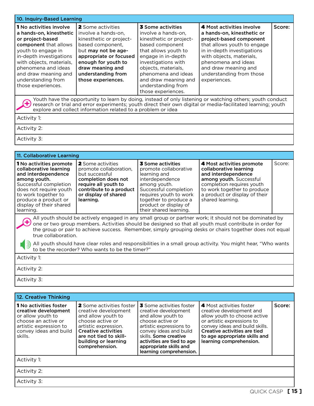|                                                                                                                                                                                                                                                                                |                                                                                                                                                                                                                                        | 10. Inquiry-Based Learning                                                                                                                                                                                                                                                    |                                                                                                                                                                                                                                                                                                                                                                                                                                             |        |  |  |
|--------------------------------------------------------------------------------------------------------------------------------------------------------------------------------------------------------------------------------------------------------------------------------|----------------------------------------------------------------------------------------------------------------------------------------------------------------------------------------------------------------------------------------|-------------------------------------------------------------------------------------------------------------------------------------------------------------------------------------------------------------------------------------------------------------------------------|---------------------------------------------------------------------------------------------------------------------------------------------------------------------------------------------------------------------------------------------------------------------------------------------------------------------------------------------------------------------------------------------------------------------------------------------|--------|--|--|
| <b>1</b> No activities involve<br>a hands-on, kinesthetic<br>or project-based<br>component that allows<br>youth to engage in<br>in-depth investigations<br>with objects, materials,<br>phenomena and ideas<br>and draw meaning and<br>understanding from<br>those experiences. | <b>2</b> Some activities<br>involve a hands-on.<br>kinesthetic or project-<br>based component,<br>but may not be age-<br>appropriate or focused<br>enough for youth to<br>draw meaning and<br>understanding from<br>those experiences. | 3 Some activities<br>involve a hands-on.<br>kinesthetic or project-<br>based component<br>that allows youth to<br>engage in in-depth<br>investigations with<br>objects, materials,<br>phenomena and ideas<br>and draw meaning and<br>understanding from<br>those experiences. | 4 Most activities involve<br>a hands-on, kinesthetic or<br>project-based component<br>that allows youth to engage<br>in in-depth investigations<br>with objects, materials,<br>phenomena and ideas<br>and draw meaning and<br>understanding from those<br>experiences.                                                                                                                                                                      | Score: |  |  |
|                                                                                                                                                                                                                                                                                | explore and collect information related to a problem or idea                                                                                                                                                                           |                                                                                                                                                                                                                                                                               | Youth have the opportunity to learn by doing, instead of only listening or watching others; youth conduct<br>research or trial and error experiments; youth direct their own digital or media-facilitated learning; youth                                                                                                                                                                                                                   |        |  |  |
| Activity 1:                                                                                                                                                                                                                                                                    |                                                                                                                                                                                                                                        |                                                                                                                                                                                                                                                                               |                                                                                                                                                                                                                                                                                                                                                                                                                                             |        |  |  |
| Activity 2:                                                                                                                                                                                                                                                                    |                                                                                                                                                                                                                                        |                                                                                                                                                                                                                                                                               |                                                                                                                                                                                                                                                                                                                                                                                                                                             |        |  |  |
| Activity 3:                                                                                                                                                                                                                                                                    |                                                                                                                                                                                                                                        |                                                                                                                                                                                                                                                                               |                                                                                                                                                                                                                                                                                                                                                                                                                                             |        |  |  |
|                                                                                                                                                                                                                                                                                |                                                                                                                                                                                                                                        |                                                                                                                                                                                                                                                                               |                                                                                                                                                                                                                                                                                                                                                                                                                                             |        |  |  |
| 11. Collaborative Learning                                                                                                                                                                                                                                                     |                                                                                                                                                                                                                                        |                                                                                                                                                                                                                                                                               |                                                                                                                                                                                                                                                                                                                                                                                                                                             |        |  |  |
|                                                                                                                                                                                                                                                                                |                                                                                                                                                                                                                                        |                                                                                                                                                                                                                                                                               |                                                                                                                                                                                                                                                                                                                                                                                                                                             |        |  |  |
| 1 No activities promote<br>collaborative learning<br>and interdependence<br>among youth.<br>Successful completion<br>does not require youth<br>to work together to<br>produce a product or<br>display of their shared<br>learning.                                             | <b>2</b> Some activities<br>promote collaboration,<br>but successful<br>completion does not<br>require all youth to<br>contribute to a product<br>or display of shared<br>learning.                                                    | <b>3</b> Some activities<br>promote collaborative<br>learning and<br>interdependence<br>among youth.<br>Successful completion<br>requires youth to work<br>together to produce a<br>product or display of<br>their shared learning.                                           | 4 Most activities promote<br>collaborative learning<br>and interdependence<br>among youth. Successful<br>completion requires youth<br>to work together to produce<br>a product or display of their<br>shared learning.                                                                                                                                                                                                                      | Score: |  |  |
| true collaboration.                                                                                                                                                                                                                                                            |                                                                                                                                                                                                                                        |                                                                                                                                                                                                                                                                               | All youth should be actively engaged in any small group or partner work; it should not be dominated by<br>one or two group members. Activities should be designed so that all youth must contribute in order for<br>the group or pair to achieve success. Remember, simply grouping desks or chairs together does not equal<br>All youth should have clear roles and responsibilities in a small group activity. You might hear, "Who wants |        |  |  |
| Activity 1:                                                                                                                                                                                                                                                                    | to be the recorder? Who wants to be the timer?"                                                                                                                                                                                        |                                                                                                                                                                                                                                                                               |                                                                                                                                                                                                                                                                                                                                                                                                                                             |        |  |  |

Activity 3:

| 12. Creative Thinking                                                                                                                                            |                                                                                                                                                                                                                             |                                                                                                                                                                                                                                                                    |                                                                                                                                                                                                                                                  |        |
|------------------------------------------------------------------------------------------------------------------------------------------------------------------|-----------------------------------------------------------------------------------------------------------------------------------------------------------------------------------------------------------------------------|--------------------------------------------------------------------------------------------------------------------------------------------------------------------------------------------------------------------------------------------------------------------|--------------------------------------------------------------------------------------------------------------------------------------------------------------------------------------------------------------------------------------------------|--------|
| <b>1</b> No activities foster<br>creative development<br>or allow youth to<br>choose an active or<br>artistic expression to<br>convey ideas and build<br>skills. | <b>2</b> Some activities foster<br>creative development<br>and allow youth to<br>choose active or<br>artistic expression.<br><b>Creative activities</b><br>are not tied to skill-<br>building or learning<br>comprehension. | <b>3</b> Some activities foster<br>creative development<br>and allow youth to<br>choose active or<br>artistic expressions to<br>convey ideas and build<br>skills. Some creative<br>activities are tied to age<br>appropriate skills and<br>learning comprehension. | 4 Most activities foster<br>creative development and<br>allow youth to choose active<br>or artistic expressions to<br>convey ideas and build skills.<br>Creative activities are tied<br>to age appropriate skills and<br>learning comprehension. | Score: |
| Activity 1:                                                                                                                                                      |                                                                                                                                                                                                                             |                                                                                                                                                                                                                                                                    |                                                                                                                                                                                                                                                  |        |
| Activity 2:                                                                                                                                                      |                                                                                                                                                                                                                             |                                                                                                                                                                                                                                                                    |                                                                                                                                                                                                                                                  |        |
| Activity 3:                                                                                                                                                      |                                                                                                                                                                                                                             |                                                                                                                                                                                                                                                                    |                                                                                                                                                                                                                                                  |        |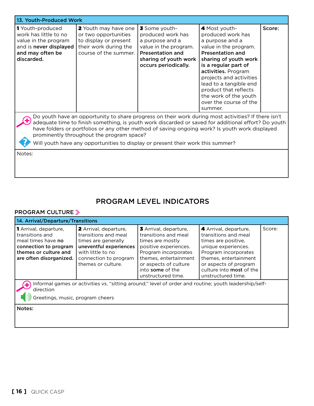| 13. Youth-Produced Work                                                                                                                                                                                                                                                                                                                                                                                                                                |                                                                                                                         |                                                                                                                                                            |                                                                                                                                                                                                                                                                                                                               |        |
|--------------------------------------------------------------------------------------------------------------------------------------------------------------------------------------------------------------------------------------------------------------------------------------------------------------------------------------------------------------------------------------------------------------------------------------------------------|-------------------------------------------------------------------------------------------------------------------------|------------------------------------------------------------------------------------------------------------------------------------------------------------|-------------------------------------------------------------------------------------------------------------------------------------------------------------------------------------------------------------------------------------------------------------------------------------------------------------------------------|--------|
| 1 Youth-produced<br>work has little to no<br>value in the program<br>and is never displayed<br>and may often be<br>discarded.                                                                                                                                                                                                                                                                                                                          | 2 Youth may have one<br>or two opportunities<br>to display or present<br>their work during the<br>course of the summer. | 3 Some youth-<br>produced work has<br>a purpose and a<br>value in the program.<br><b>Presentation and</b><br>sharing of youth work<br>occurs periodically. | 4 Most youth-<br>produced work has<br>a purpose and a<br>value in the program.<br><b>Presentation and</b><br>sharing of youth work<br>is a regular part of<br>activities. Program<br>projects and activities<br>lead to a tangible end<br>product that reflects<br>the work of the youth<br>over the course of the<br>summer. | Score: |
| Do youth have an opportunity to share progress on their work during most activities? If there isn't<br>adequate time to finish something, is youth work discarded or saved for additional effort? Do youth<br>have folders or portfolios or any other method of saving ongoing work? Is youth work displayed<br>prominently throughout the program space?<br>Will youth have any opportunities to display or present their work this summer?<br>Notes: |                                                                                                                         |                                                                                                                                                            |                                                                                                                                                                                                                                                                                                                               |        |

## PROGRAM LEVEL INDICATORS

#### PROGRAM CULTURE

| 14. Arrival/Departure/Transitions                                                                                                                      |                                                                                                                                                                    |                                                                                                                                                                                                                       |                                                                                                                                                                                                                                |        |
|--------------------------------------------------------------------------------------------------------------------------------------------------------|--------------------------------------------------------------------------------------------------------------------------------------------------------------------|-----------------------------------------------------------------------------------------------------------------------------------------------------------------------------------------------------------------------|--------------------------------------------------------------------------------------------------------------------------------------------------------------------------------------------------------------------------------|--------|
| <b>1</b> Arrival, departure,<br>transitions and<br>meal times have no<br>connection to program<br>themes or culture and<br>are often disorganized.     | 2 Arrival, departure,<br>transitions and meal<br>times are generally<br>uneventful experiences<br>with little to no<br>connection to program<br>themes or culture. | 3 Arrival, departure,<br>transitions and meal<br>times are mostly<br>positive experiences.<br>Program incorporates<br>themes, entertainment<br>or aspects of culture<br>into <b>some</b> of the<br>unstructured time. | 4 Arrival, departure,<br>transitions and meal<br>times are positive.<br>unique experiences.<br>Program incorporates<br>themes, entertainment<br>or aspects of program<br>culture into <b>most</b> of the<br>unstructured time. | Score: |
| Informal games or activities vs. "sitting around;" level of order and routine; youth leadership/self-<br>direction<br>Greetings, music, program cheers |                                                                                                                                                                    |                                                                                                                                                                                                                       |                                                                                                                                                                                                                                |        |
| Notes:                                                                                                                                                 |                                                                                                                                                                    |                                                                                                                                                                                                                       |                                                                                                                                                                                                                                |        |

the control of the control of the control of the control of the control of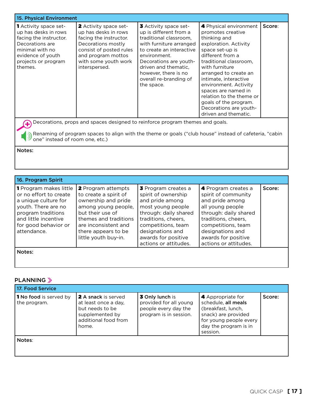| 15. Physical Environment                                                                                                                                                    |                                                                                                                                                                                         |                                                                                                                                                                                                                                                                    |                                                                                                                                                                                                                                                                                                                                                                                  |        |
|-----------------------------------------------------------------------------------------------------------------------------------------------------------------------------|-----------------------------------------------------------------------------------------------------------------------------------------------------------------------------------------|--------------------------------------------------------------------------------------------------------------------------------------------------------------------------------------------------------------------------------------------------------------------|----------------------------------------------------------------------------------------------------------------------------------------------------------------------------------------------------------------------------------------------------------------------------------------------------------------------------------------------------------------------------------|--------|
| <b>1</b> Activity space set-<br>up has desks in rows<br>facing the instructor.<br>Decorations are<br>minimal with no<br>evidence of youth<br>projects or program<br>themes. | 2 Activity space set-<br>up has desks in rows<br>facing the instructor.<br>Decorations mostly<br>consist of posted rules<br>and program mottos<br>with some youth work<br>interspersed. | 3 Activity space set-<br>up is different from a<br>traditional classroom.<br>with furniture arranged<br>to create an interactive<br>environment.<br>Decorations are youth-<br>driven and thematic,<br>however, there is no<br>overall re-branding of<br>the space. | 4 Physical environment<br>promotes creative<br>thinking and<br>exploration. Activity<br>space set-up is<br>different from a<br>traditional classroom,<br>with furniture<br>arranged to create an<br>intimate, interactive<br>environment. Activity<br>spaces are named in<br>relation to the theme or<br>goals of the program.<br>Decorations are youth-<br>driven and thematic. | Score: |
| Decorations, props and spaces designed to reinforce program themes and goals.                                                                                               |                                                                                                                                                                                         |                                                                                                                                                                                                                                                                    |                                                                                                                                                                                                                                                                                                                                                                                  |        |
| one" instead of room one, etc.)                                                                                                                                             |                                                                                                                                                                                         |                                                                                                                                                                                                                                                                    | Renaming of program spaces to align with the theme or goals ("club house" instead of cafeteria, "cabin                                                                                                                                                                                                                                                                           |        |

Notes:

| 16. Program Spirit                                                                                                                                                                          |                                                                                                                                                                                                               |                                                                                                                                                                                                                              |                                                                                                                                                                                                                             |        |
|---------------------------------------------------------------------------------------------------------------------------------------------------------------------------------------------|---------------------------------------------------------------------------------------------------------------------------------------------------------------------------------------------------------------|------------------------------------------------------------------------------------------------------------------------------------------------------------------------------------------------------------------------------|-----------------------------------------------------------------------------------------------------------------------------------------------------------------------------------------------------------------------------|--------|
| <b>1</b> Program makes little<br>or no effort to create<br>a unique culture for<br>youth. There are no<br>program traditions<br>and little incentive<br>for good behavior or<br>attendance. | 2 Program attempts<br>to create a spirit of<br>ownership and pride<br>among young people,<br>but their use of<br>themes and traditions<br>are inconsistent and<br>there appears to be<br>little youth buy-in. | 3 Program creates a<br>spirit of ownership<br>and pride among<br>most young people<br>through: daily shared<br>traditions, cheers,<br>competitions, team<br>designations and<br>awards for positive<br>actions or attitudes. | 4 Program creates a<br>spirit of community<br>and pride among<br>all young people<br>through: daily shared<br>traditions, cheers,<br>competitions, team<br>designations and<br>awards for positive<br>actions or attitudes. | Score: |
| Notes:                                                                                                                                                                                      |                                                                                                                                                                                                               |                                                                                                                                                                                                                              |                                                                                                                                                                                                                             |        |

## PLANNING

| 17. Food Service                              |                                                                                                                    |                                                                                                    |                                                                                                                                                      |        |
|-----------------------------------------------|--------------------------------------------------------------------------------------------------------------------|----------------------------------------------------------------------------------------------------|------------------------------------------------------------------------------------------------------------------------------------------------------|--------|
| <b>1 No food</b> is served by<br>the program. | 2 A snack is served<br>at least once a day,<br>but needs to be<br>supplemented by<br>additional food from<br>home. | <b>3 Only lunch is</b><br>provided for all young<br>people every day the<br>program is in session. | 4 Appropriate for<br>schedule, all meals<br>(breakfast, lunch,<br>snack) are provided<br>for young people every<br>day the program is in<br>session. | Score: |
| Notes:                                        |                                                                                                                    |                                                                                                    |                                                                                                                                                      |        |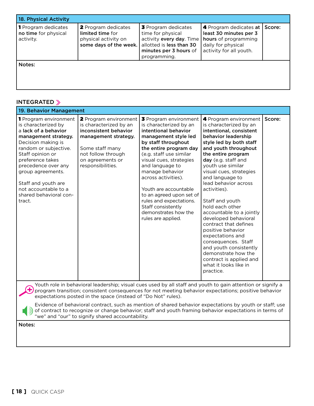| 18. Physical Activity                                           |                                                                                                  |                                                                                                                                            |                                                                                                                             |        |
|-----------------------------------------------------------------|--------------------------------------------------------------------------------------------------|--------------------------------------------------------------------------------------------------------------------------------------------|-----------------------------------------------------------------------------------------------------------------------------|--------|
| <b>1</b> Program dedicates<br>no time for physical<br>activity. | <b>2</b> Program dedicates<br>limited time for<br>physical activity on<br>some days of the week. | 3 Program dedicates<br>time for physical<br>activity every day. Time<br>allotted is less than 30<br>minutes per 3 hours of<br>programming. | 4 Program dedicates at  <br>least 30 minutes per 3<br>hours of programming<br>daily for physical<br>activity for all youth. | Score: |
| Notes:                                                          |                                                                                                  |                                                                                                                                            |                                                                                                                             |        |

#### INTEGRATED »

| 19. Behavior Management                                                                                                                                                                                                                                                                                            |                                                                                                                                                                                                                                                                       |                                                                                                                                                                                                                                                                                                                                                                                                                         |                                                                                                                                                                                                                                                                                                                                                                                                                                                                                                                                                                                                                   |        |  |
|--------------------------------------------------------------------------------------------------------------------------------------------------------------------------------------------------------------------------------------------------------------------------------------------------------------------|-----------------------------------------------------------------------------------------------------------------------------------------------------------------------------------------------------------------------------------------------------------------------|-------------------------------------------------------------------------------------------------------------------------------------------------------------------------------------------------------------------------------------------------------------------------------------------------------------------------------------------------------------------------------------------------------------------------|-------------------------------------------------------------------------------------------------------------------------------------------------------------------------------------------------------------------------------------------------------------------------------------------------------------------------------------------------------------------------------------------------------------------------------------------------------------------------------------------------------------------------------------------------------------------------------------------------------------------|--------|--|
| 1 Program environment<br>is characterized by<br>a lack of a behavior<br>management strategy.<br>Decision making is<br>random or subjective.<br>Staff opinion or<br>preference takes<br>precedence over any<br>group agreements.<br>Staff and youth are<br>not accountable to a<br>shared behavioral con-<br>tract. | <b>2</b> Program environment<br>is characterized by an<br>inconsistent behavior<br>management strategy.<br>Some staff many<br>not follow through<br>on agreements or<br>responsibilities.                                                                             | 3 Program environment<br>is characterized by an<br>intentional behavior<br>management style led<br>by staff throughout<br>the entire program day<br>(e.g. staff use similar<br>visual cues, strategies<br>and language to<br>manage behavior<br>across activities).<br>Youth are accountable<br>to an agreed upon set of<br>rules and expectations.<br>Staff consistently<br>demonstrates how the<br>rules are applied. | 4 Program environment<br>is characterized by an<br>intentional, consistent<br>behavior leadership<br>style led by both staff<br>and youth throughout<br>the entire program<br>day (e.g. staff and<br>youth use similar<br>visual cues, strategies<br>and language to<br>lead behavior across<br>activities).<br>Staff and youth<br>hold each other<br>accountable to a jointly<br>developed behavioral<br>contract that defines<br>positive behavior<br>expectations and<br>consequences. Staff<br>and youth consistently<br>demonstrate how the<br>contract is applied and<br>what it looks like in<br>practice. | Score: |  |
| Youth role in behavioral leadership; visual cues used by all staff and youth to gain attention or signify a<br>program transition; consistent consequences for not meeting behavior expectations; positive behavior<br>expectations posted in the space (instead of "Do Not" rules).                               |                                                                                                                                                                                                                                                                       |                                                                                                                                                                                                                                                                                                                                                                                                                         |                                                                                                                                                                                                                                                                                                                                                                                                                                                                                                                                                                                                                   |        |  |
|                                                                                                                                                                                                                                                                                                                    | Evidence of behavioral contract, such as mention of shared behavior expectations by youth or staff; use<br>of contract to recognize or change behavior; staff and youth framing behavior expectations in terms of<br>"we" and "our" to signify shared accountability. |                                                                                                                                                                                                                                                                                                                                                                                                                         |                                                                                                                                                                                                                                                                                                                                                                                                                                                                                                                                                                                                                   |        |  |

Notes: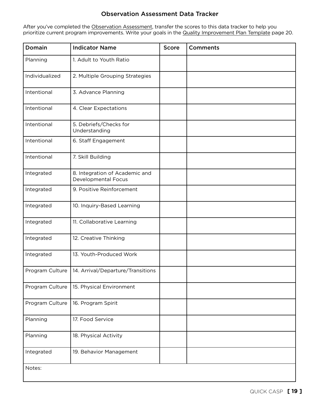#### Observation Assessment Data Tracker

After you've completed the Observation Assessment, transfer the scores to this data tracker to help you prioritize current program improvements. Write your goals in the Quality Improvement Plan Template page 20.

| Domain          | <b>Indicator Name</b>                                 | <b>Score</b> | <b>Comments</b> |
|-----------------|-------------------------------------------------------|--------------|-----------------|
| Planning        | 1. Adult to Youth Ratio                               |              |                 |
| Individualized  | 2. Multiple Grouping Strategies                       |              |                 |
| Intentional     | 3. Advance Planning                                   |              |                 |
| Intentional     | 4. Clear Expectations                                 |              |                 |
| Intentional     | 5. Debriefs/Checks for<br>Understanding               |              |                 |
| Intentional     | 6. Staff Engagement                                   |              |                 |
| Intentional     | 7. Skill Building                                     |              |                 |
| Integrated      | 8. Integration of Academic and<br>Developmental Focus |              |                 |
| Integrated      | 9. Positive Reinforcement                             |              |                 |
| Integrated      | 10. Inquiry-Based Learning                            |              |                 |
| Integrated      | 11. Collaborative Learning                            |              |                 |
| Integrated      | 12. Creative Thinking                                 |              |                 |
| Integrated      | 13. Youth-Produced Work                               |              |                 |
| Program Culture | 14. Arrival/Departure/Transitions                     |              |                 |
| Program Culture | 15. Physical Environment                              |              |                 |
| Program Culture | 16. Program Spirit                                    |              |                 |
| Planning        | 17. Food Service                                      |              |                 |
| Planning        | 18. Physical Activity                                 |              |                 |
| Integrated      | 19. Behavior Management                               |              |                 |
| Notes:          |                                                       |              |                 |